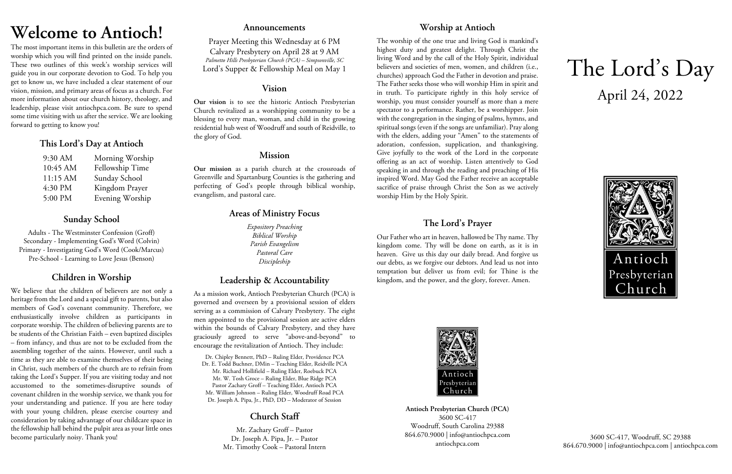# **Welcome to Antioch!**

The most important items in this bulletin are the orders of worship which you will find printed on the inside panels. These two outlines of this week's worship services will guide you in our corporate devotion to God. To help you get to know us, we have included a clear statement of our vision, mission, and primary areas of focus as a church. For more information about our church history, theology, and leadership, please visit antiochpca.com. Be sure to spend some time visiting with us after the service. We are looking forward to getting to know you!

## **This Lord's Day at Antioch**

| 9:30 AM  | Morning Worship |
|----------|-----------------|
| 10:45 AM | Fellowship Time |
| 11:15 AM | Sunday School   |
| 4:30 PM  | Kingdom Prayer  |
| 5:00 PM  | Evening Worship |

## **Sunday School**

Adults - The Westminster Confession (Groff) Secondary - Implementing God's Word (Colvin) Primary - Investigating God's Word (Cook/Marcus) Pre-School - Learning to Love Jesus (Benson)

## **Children in Worship**

We believe that the children of believers are not only a heritage from the Lord and a special gift to parents, but also members of God's covenant community. Therefore, we enthusiastically involve children as participants in corporate worship. The children of believing parents are to be students of the Christian Faith – even baptized disciples – from infancy, and thus are not to be excluded from the assembling together of the saints. However, until such a time as they are able to examine themselves of their being in Christ, such members of the church are to refrain from taking the Lord's Supper. If you are visiting today and not accustomed to the sometimes-disruptive sounds of covenant children in the worship service, we thank you for your understanding and patience. If you are here today with your young children, please exercise courtesy and consideration by taking advantage of our childcare space in the fellowship hall behind the pulpit area as your little ones become particularly noisy. Thank you!

### **Announcements**

Prayer Meeting this Wednesday at 6 PM Calvary Presbytery on April 28 at 9 AM *Palmetto Hills Presbyterian Church (PCA) – Simpsonville, SC* Lord's Supper & Fellowship Meal on May 1

## **Vision**

**Our vision** is to see the historic Antioch Presbyterian Church revitalized as a worshipping community to be a blessing to every man, woman, and child in the growing residential hub west of Woodruff and south of Reidville, to the glory of God.

## **Mission**

**Our mission** as a parish church at the crossroads of Greenville and Spartanburg Counties is the gathering and perfecting of God's people through biblical worship, evangelism, and pastoral care.

## **Areas of Ministry Focus**

*Expository Preaching Biblical Worship Parish Evangelism Pastoral Care Discipleship*

## **Leadership & Accountability**

As a mission work, Antioch Presbyterian Church (PCA) is governed and overseen by a provisional session of elders serving as a commission of Calvary Presbytery. The eight men appointed to the provisional session are active elders within the bounds of Calvary Presbytery, and they have graciously agreed to serve "above-and-beyond" to encourage the revitalization of Antioch. They include:

Dr. Chipley Bennett, PhD – Ruling Elder, Providence PCA Dr. E. Todd Buchner, DMin – Teaching Elder, Reidville PCA Mr. Richard Hollifield – Ruling Elder, Roebuck PCA Mr. W. Tosh Groce – Ruling Elder, Blue Ridge PCA Pastor Zachary Groff – Teaching Elder, Antioch PCA Mr. William Johnson – Ruling Elder, Woodruff Road PCA Dr. Joseph A. Pipa, Jr., PhD, DD – Moderator of Session

## **Church Staff**

Mr. Zachary Groff – Pastor Dr. Joseph A. Pipa, Jr. – Pastor Mr. Timothy Cook – Pastoral Intern

## **Worship at Antioch**

The worship of the one true and living God is mankind's highest duty and greatest delight. Through Christ the living Word and by the call of the Holy Spirit, individual believers and societies of men, women, and children (i.e., churches) approach God the Father in devotion and praise. The Father seeks those who will worship Him in spirit and in truth. To participate rightly in this holy service of worship, you must consider yourself as more than a mere spectator to a performance. Rather, be a worshipper. Join with the congregation in the singing of psalms, hymns, and spiritual songs (even if the songs are unfamiliar). Pray along with the elders, adding your "Amen" to the statements of adoration, confession, supplication, and thanksgiving. Give joyfully to the work of the Lord in the corporate offering as an act of worship. Listen attentively to God speaking in and through the reading and preaching of His inspired Word. May God the Father receive an acceptable sacrifice of praise through Christ the Son as we actively worship Him by the Holy Spirit.

## **The Lord's Prayer**

Our Father who art in heaven, hallowed be Thy name. Thy kingdom come. Thy will be done on earth, as it is in heaven. Give us this day our daily bread. And forgive us our debts, as we forgive our debtors. And lead us not into temptation but deliver us from evil; for Thine is the kingdom, and the power, and the glory, forever. Amen.



**Antioch Presbyterian Church (PCA)** 3600 SC-417 Woodruff, South Carolina 29388 864.670.9000 | info@antiochpca.com antiochpca.com

# The Lord's Day April 24, 2022



3600 SC-417, Woodruff, SC 29388 864.670.9000 | info@antiochpca.com | antiochpca.com